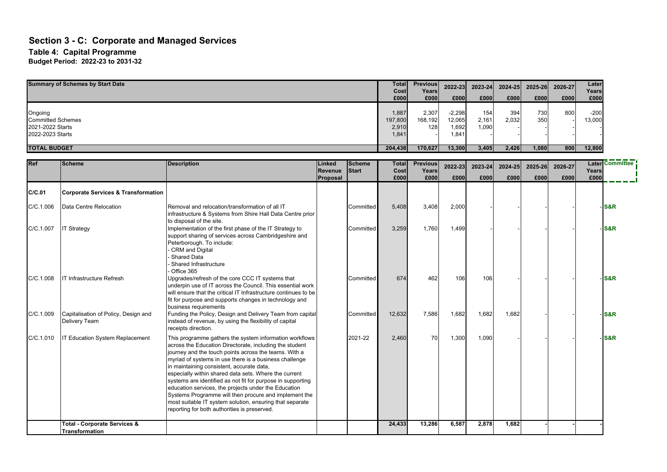#### **Section 3 - C: Corporate and Managed Services Table 4: Capital Programme Budget Period: 2022-23 to 2031-32**

| <b>Summary of Schemes by Start Date</b>                                     |                                                           |                                                                                                                                                                                                                                                                                                                                                                                                                                                                                                                                                                                                                                         |                               |                               | <b>Total</b><br>Cost<br>£000       | <b>Previous</b><br>Years<br>£000 | 2022-23<br>£000                      | 2023-24<br>£000       | 2024-25<br>£000 | 2025-26<br>£000 | 2026-27<br>£000 | Later<br>Years<br>£000 |                 |
|-----------------------------------------------------------------------------|-----------------------------------------------------------|-----------------------------------------------------------------------------------------------------------------------------------------------------------------------------------------------------------------------------------------------------------------------------------------------------------------------------------------------------------------------------------------------------------------------------------------------------------------------------------------------------------------------------------------------------------------------------------------------------------------------------------------|-------------------------------|-------------------------------|------------------------------------|----------------------------------|--------------------------------------|-----------------------|-----------------|-----------------|-----------------|------------------------|-----------------|
| Ongoing<br><b>Committed Schemes</b><br>2021-2022 Starts<br>2022-2023 Starts |                                                           |                                                                                                                                                                                                                                                                                                                                                                                                                                                                                                                                                                                                                                         |                               |                               | 1,887<br>197,800<br>2,910<br>1,841 | 2,307<br>168,192<br>128          | $-2,298$<br>12,065<br>1,692<br>1,841 | 154<br>2,161<br>1,090 | 394<br>2,032    | 730<br>350      | 800             | $-200$<br>13,000       |                 |
| <b>TOTAL BUDGET</b>                                                         |                                                           |                                                                                                                                                                                                                                                                                                                                                                                                                                                                                                                                                                                                                                         |                               |                               | 204,438                            | 170,627                          | 13,300                               | 3,405                 | 2.426           | 1,080           | 800             | 12,800                 |                 |
| Ref                                                                         | <b>Scheme</b>                                             | <b>Description</b>                                                                                                                                                                                                                                                                                                                                                                                                                                                                                                                                                                                                                      | Linked<br>Revenue<br>Proposal | <b>Scheme</b><br><b>Start</b> | <b>Total</b><br>Cost<br>£000       | <b>Previous</b><br>Years<br>£000 | 2022-23<br>£000                      | 2023-24<br>£000       | 2024-25<br>£000 | 2025-26<br>£000 | 2026-27<br>£000 | Years<br>£000          | Later Committee |
| C/C.01                                                                      | <b>Corporate Services &amp; Transformation</b>            |                                                                                                                                                                                                                                                                                                                                                                                                                                                                                                                                                                                                                                         |                               |                               |                                    |                                  |                                      |                       |                 |                 |                 |                        |                 |
| C/C.1.006                                                                   | Data Centre Relocation                                    | Removal and relocation/transformation of all IT<br>infrastructure & Systems from Shire Hall Data Centre prior<br>to disposal of the site.                                                                                                                                                                                                                                                                                                                                                                                                                                                                                               |                               | Committed                     | 5,408                              | 3,408                            | 2,000                                |                       |                 |                 |                 |                        | S&R             |
| C/C.1.007                                                                   | <b>IT Strategy</b>                                        | Implementation of the first phase of the IT Strategy to<br>support sharing of services across Cambridgeshire and<br>Peterborough. To include:<br>CRM and Digital<br><b>Shared Data</b><br>Shared Infrastructure<br>Office 365                                                                                                                                                                                                                                                                                                                                                                                                           |                               | Committed                     | 3,259                              | 1,760                            | 1,499                                |                       |                 |                 |                 |                        | <b>S&amp;R</b>  |
| C/C.1.008                                                                   | <b>IT Infrastructure Refresh</b>                          | Upgrades/refresh of the core CCC IT systems that<br>underpin use of IT across the Council. This essential work<br>will ensure that the critical IT Infrastructure continues to be<br>fit for purpose and supports changes in technology and<br>business requirements                                                                                                                                                                                                                                                                                                                                                                    |                               | Committed                     | 674                                | 462                              | 106                                  | 106                   |                 |                 |                 |                        | S&R             |
| C/C.1.009                                                                   | Capitalisation of Policy, Design and<br>Delivery Team     | Funding the Policy, Design and Delivery Team from capital<br>instead of revenue, by using the flexibility of capital<br>receipts direction.                                                                                                                                                                                                                                                                                                                                                                                                                                                                                             |                               | Committed                     | 12,632                             | 7,586                            | 1,682                                | 1,682                 | 1,682           |                 |                 |                        | S&R             |
| C/C.1.010                                                                   | <b>IT Education System Replacement</b>                    | This programme gathers the system information workflows<br>across the Education Directorate, including the student<br>journey and the touch points across the teams. With a<br>myriad of systems in use there is a business challenge<br>in maintaining consistent, accurate data,<br>especially within shared data sets. Where the current<br>systems are identified as not fit for purpose in supporting<br>education services, the projects under the Education<br>Systems Programme will then procure and implement the<br>most suitable IT system solution, ensuring that separate<br>reporting for both authorities is preserved. |                               | 2021-22                       | 2,460                              | 70                               | 1,300                                | 1,090                 |                 |                 |                 |                        | <b>S&amp;R</b>  |
|                                                                             | <b>Total - Corporate Services &amp;</b><br>Transformation |                                                                                                                                                                                                                                                                                                                                                                                                                                                                                                                                                                                                                                         |                               |                               | 24,433                             | 13,286                           | 6,587                                | 2,878                 | 1,682           |                 |                 |                        |                 |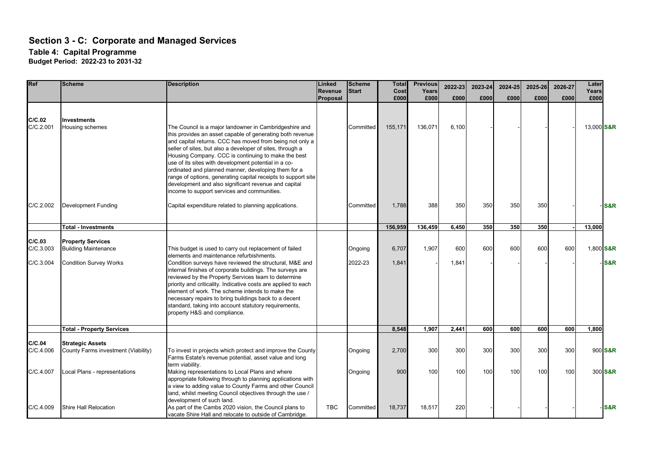# **Section 3 - C: Corporate and Managed Services**

**Table 4: Capital Programme**

**Budget Period: 2022-23 to 2031-32**

| Ref                              | <b>Scheme</b>                                                                            | <b>Description</b>                                                                                                                                                                                                                                                                                                                                                                                                                                                                                                                                       | Linked<br><b>Revenue</b> | <b>Scheme</b><br>Start | <b>Total</b><br>Cost | <b>Previous</b><br>Years | 2022-23      | 2023-24 | 2024-25 | 2025-26 | 2026-27 | Later<br>Years |                |
|----------------------------------|------------------------------------------------------------------------------------------|----------------------------------------------------------------------------------------------------------------------------------------------------------------------------------------------------------------------------------------------------------------------------------------------------------------------------------------------------------------------------------------------------------------------------------------------------------------------------------------------------------------------------------------------------------|--------------------------|------------------------|----------------------|--------------------------|--------------|---------|---------|---------|---------|----------------|----------------|
|                                  |                                                                                          |                                                                                                                                                                                                                                                                                                                                                                                                                                                                                                                                                          | Proposal                 |                        | £000                 | £000                     | £000         | £000    | £000    | £000    | £000    | £000           |                |
| C/C.02<br>C/C.2.001              | <b>Investments</b><br>Housing schemes                                                    | The Council is a major landowner in Cambridgeshire and<br>this provides an asset capable of generating both revenue<br>and capital returns. CCC has moved from being not only a<br>seller of sites, but also a developer of sites, through a<br>Housing Company. CCC is continuing to make the best<br>use of its sites with development potential in a co-<br>ordinated and planned manner, developing them for a<br>range of options, generating capital receipts to support site<br>development and also significant revenue and capital              |                          | Committed              | 155,171              | 136,071                  | 6.100        |         |         |         |         | 13,000 S&R     |                |
| C/C.2.002                        | Development Funding                                                                      | income to support services and communities.<br>Capital expenditure related to planning applications.                                                                                                                                                                                                                                                                                                                                                                                                                                                     |                          | Committed              | 1,788                | 388                      | 350          | 350     | 350     | 350     |         |                | <b>S&amp;R</b> |
|                                  | <b>Total - Investments</b>                                                               |                                                                                                                                                                                                                                                                                                                                                                                                                                                                                                                                                          |                          |                        | 156,959              | 136,459                  | 6,450        | 350     | 350     | 350     |         | 13,000         |                |
| C/C.03<br>C/C.3.003<br>C/C.3.004 | <b>Property Services</b><br><b>Building Maintenance</b><br><b>Condition Survey Works</b> | This budget is used to carry out replacement of failed<br>elements and maintenance refurbishments.<br>Condition surveys have reviewed the structural, M&E and<br>internal finishes of corporate buildings. The surveys are<br>reviewed by the Property Services team to determine<br>priority and criticality. Indicative costs are applied to each<br>element of work. The scheme intends to make the<br>necessary repairs to bring buildings back to a decent<br>standard, taking into account statutory requirements,<br>property H&S and compliance. |                          | Ongoing<br>2022-23     | 6,707<br>1,841       | 1,907                    | 600<br>1,841 | 600     | 600     | 600     | 600     | 1,800 S&R      | S&R            |
|                                  | <b>Total - Property Services</b>                                                         |                                                                                                                                                                                                                                                                                                                                                                                                                                                                                                                                                          |                          |                        | 8,548                | 1,907                    | 2,441        | 600     | 600     | 600     | 600     | 1,800          |                |
| C/C.04<br>C/C.4.006              | <b>Strategic Assets</b><br>County Farms investment (Viability)                           | To invest in projects which protect and improve the County<br>Farms Estate's revenue potential, asset value and long<br>term viability.                                                                                                                                                                                                                                                                                                                                                                                                                  |                          | Ongoing                | 2,700                | 300                      | 300          | 300     | 300     | 300     | 300     |                | 900 S&R        |
| C/C.4.007<br>C/C.4.009           | Local Plans - representations<br>Shire Hall Relocation                                   | Making representations to Local Plans and where<br>appropriate following through to planning applications with<br>a view to adding value to County Farms and other Council<br>land, whilst meeting Council objectives through the use /<br>development of such land.<br>As part of the Cambs 2020 vision, the Council plans to                                                                                                                                                                                                                           | <b>TBC</b>               | Ongoing<br>Committed   | 900<br>18,737        | 100<br>18,517            | 100<br>220   | 100     | 100     | 100     | 100     |                | 300 S&R<br>S&R |
|                                  |                                                                                          | vacate Shire Hall and relocate to outside of Cambridge.                                                                                                                                                                                                                                                                                                                                                                                                                                                                                                  |                          |                        |                      |                          |              |         |         |         |         |                |                |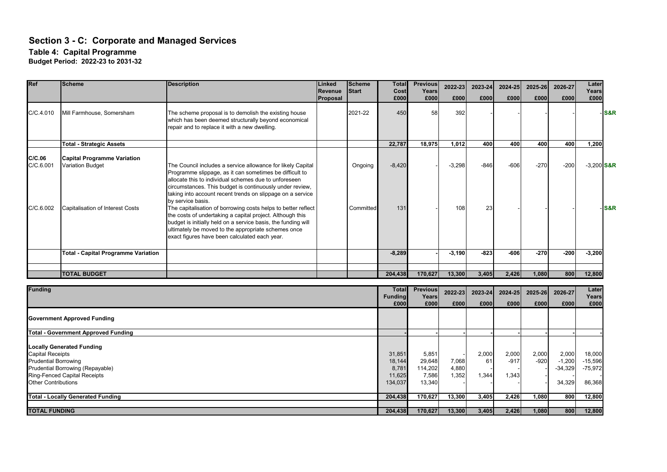# **Section 3 - C: Corporate and Managed Services**

**Table 4: Capital Programme**

**Budget Period: 2022-23 to 2031-32**

| 2021-22<br>450<br>58<br>392<br>C/C.4.010<br>Mill Farmhouse, Somersham<br>The scheme proposal is to demolish the existing house<br>which has been deemed structurally beyond economical<br>repair and to replace it with a new dwelling.<br>22,787<br>18,975<br>1,012<br>400<br>400<br>400<br>400<br><b>Total - Strategic Assets</b><br>C/C.06<br><b>Capital Programme Variation</b><br>C/C.6.001<br><b>Variation Budget</b><br>The Council includes a service allowance for likely Capital<br>$-8,420$<br>$-3,298$<br>$-846$<br>$-606$<br>$-270$<br>$-200$<br>Ongoing<br>Programme slippage, as it can sometimes be difficult to<br>allocate this to individual schemes due to unforeseen<br>circumstances. This budget is continuously under review,<br>taking into account recent trends on slippage on a service<br>by service basis.<br>The capitalisation of borrowing costs helps to better reflect<br>C/C.6.002<br><b>Capitalisation of Interest Costs</b><br>131<br>108<br>23<br>Committed<br>the costs of undertaking a capital project. Although this<br>budget is initially held on a service basis, the funding will<br>ultimately be moved to the appropriate schemes once<br>exact figures have been calculated each year.<br>$-823$<br>$-270$<br>$-200$<br><b>Total - Capital Programme Variation</b><br>$-8,289$<br>$-3,190$<br>$-606$<br><b>TOTAL BUDGET</b><br>204,438<br>170,627<br>13,300<br>3,405<br>1,080<br>800<br>2,426<br><b>Funding</b><br><b>Total</b><br><b>Previous</b><br>2022-23<br>2023-24<br>2024-25<br>2025-26<br>2026-27<br><b>Funding</b><br>Years<br>£000<br>£000<br>£000<br>£000<br>£000<br>£000<br>£000<br><b>Government Approved Funding</b><br><b>Total - Government Approved Funding</b><br><b>Locally Generated Funding</b><br><b>Capital Receipts</b><br>2,000<br>2,000<br>2,000<br>2,000<br>31,851<br>5,851<br>$-920$<br>$-1,200$<br><b>Prudential Borrowing</b><br>18,144<br>29,648<br>61<br>$-917$<br>7,068<br>Prudential Borrowing (Repayable)<br>8,781<br>114,202<br>$-34,329$<br>4,880<br><b>Ring-Fenced Capital Receipts</b><br>11,625<br>7,586<br>1,352<br>1,344<br>1,343<br><b>Other Contributions</b><br>134,037<br>13,340<br>34,329<br>800<br><b>Total - Locally Generated Funding</b><br>170,627<br>13,300<br>3,405<br>2,426<br>1,080<br>204,438 | Ref                  | <b>Scheme</b> | <b>Description</b> | Linked<br>Revenue<br>Proposal | <b>Scheme</b><br><b>Start</b> | <b>Total</b><br>Cost<br>£000 | <b>Previous</b><br>Years<br>£000 | 2022-23<br>£000 | 2023-24<br>£000 | 2024-25<br>£000 | 2025-26<br>£000 | 2026-27<br>£000                            | Later<br>Years<br>£000 |                  |
|----------------------------------------------------------------------------------------------------------------------------------------------------------------------------------------------------------------------------------------------------------------------------------------------------------------------------------------------------------------------------------------------------------------------------------------------------------------------------------------------------------------------------------------------------------------------------------------------------------------------------------------------------------------------------------------------------------------------------------------------------------------------------------------------------------------------------------------------------------------------------------------------------------------------------------------------------------------------------------------------------------------------------------------------------------------------------------------------------------------------------------------------------------------------------------------------------------------------------------------------------------------------------------------------------------------------------------------------------------------------------------------------------------------------------------------------------------------------------------------------------------------------------------------------------------------------------------------------------------------------------------------------------------------------------------------------------------------------------------------------------------------------------------------------------------------------------------------------------------------------------------------------------------------------------------------------------------------------------------------------------------------------------------------------------------------------------------------------------------------------------------------------------------------------------------------------------------------------------------------------------------------------------------------------------------|----------------------|---------------|--------------------|-------------------------------|-------------------------------|------------------------------|----------------------------------|-----------------|-----------------|-----------------|-----------------|--------------------------------------------|------------------------|------------------|
|                                                                                                                                                                                                                                                                                                                                                                                                                                                                                                                                                                                                                                                                                                                                                                                                                                                                                                                                                                                                                                                                                                                                                                                                                                                                                                                                                                                                                                                                                                                                                                                                                                                                                                                                                                                                                                                                                                                                                                                                                                                                                                                                                                                                                                                                                                          |                      |               |                    |                               |                               |                              |                                  |                 |                 |                 |                 |                                            |                        | -IS&R            |
|                                                                                                                                                                                                                                                                                                                                                                                                                                                                                                                                                                                                                                                                                                                                                                                                                                                                                                                                                                                                                                                                                                                                                                                                                                                                                                                                                                                                                                                                                                                                                                                                                                                                                                                                                                                                                                                                                                                                                                                                                                                                                                                                                                                                                                                                                                          |                      |               |                    |                               |                               |                              |                                  |                 |                 |                 |                 |                                            | 1,200                  |                  |
|                                                                                                                                                                                                                                                                                                                                                                                                                                                                                                                                                                                                                                                                                                                                                                                                                                                                                                                                                                                                                                                                                                                                                                                                                                                                                                                                                                                                                                                                                                                                                                                                                                                                                                                                                                                                                                                                                                                                                                                                                                                                                                                                                                                                                                                                                                          |                      |               |                    |                               |                               |                              |                                  |                 |                 |                 |                 |                                            | $-3,200$ S&R           |                  |
|                                                                                                                                                                                                                                                                                                                                                                                                                                                                                                                                                                                                                                                                                                                                                                                                                                                                                                                                                                                                                                                                                                                                                                                                                                                                                                                                                                                                                                                                                                                                                                                                                                                                                                                                                                                                                                                                                                                                                                                                                                                                                                                                                                                                                                                                                                          |                      |               |                    |                               |                               |                              |                                  |                 |                 |                 |                 |                                            |                        | - <b>S&amp;R</b> |
|                                                                                                                                                                                                                                                                                                                                                                                                                                                                                                                                                                                                                                                                                                                                                                                                                                                                                                                                                                                                                                                                                                                                                                                                                                                                                                                                                                                                                                                                                                                                                                                                                                                                                                                                                                                                                                                                                                                                                                                                                                                                                                                                                                                                                                                                                                          |                      |               |                    |                               |                               |                              |                                  |                 |                 |                 |                 |                                            | $-3,200$               |                  |
|                                                                                                                                                                                                                                                                                                                                                                                                                                                                                                                                                                                                                                                                                                                                                                                                                                                                                                                                                                                                                                                                                                                                                                                                                                                                                                                                                                                                                                                                                                                                                                                                                                                                                                                                                                                                                                                                                                                                                                                                                                                                                                                                                                                                                                                                                                          |                      |               |                    |                               |                               |                              |                                  |                 |                 |                 |                 |                                            |                        |                  |
|                                                                                                                                                                                                                                                                                                                                                                                                                                                                                                                                                                                                                                                                                                                                                                                                                                                                                                                                                                                                                                                                                                                                                                                                                                                                                                                                                                                                                                                                                                                                                                                                                                                                                                                                                                                                                                                                                                                                                                                                                                                                                                                                                                                                                                                                                                          |                      |               |                    |                               |                               |                              |                                  |                 |                 |                 |                 |                                            | 12,800                 |                  |
|                                                                                                                                                                                                                                                                                                                                                                                                                                                                                                                                                                                                                                                                                                                                                                                                                                                                                                                                                                                                                                                                                                                                                                                                                                                                                                                                                                                                                                                                                                                                                                                                                                                                                                                                                                                                                                                                                                                                                                                                                                                                                                                                                                                                                                                                                                          |                      |               |                    |                               |                               |                              |                                  |                 |                 |                 |                 |                                            | Later<br>Years<br>£000 |                  |
|                                                                                                                                                                                                                                                                                                                                                                                                                                                                                                                                                                                                                                                                                                                                                                                                                                                                                                                                                                                                                                                                                                                                                                                                                                                                                                                                                                                                                                                                                                                                                                                                                                                                                                                                                                                                                                                                                                                                                                                                                                                                                                                                                                                                                                                                                                          |                      |               |                    |                               |                               |                              |                                  |                 |                 |                 |                 |                                            |                        |                  |
|                                                                                                                                                                                                                                                                                                                                                                                                                                                                                                                                                                                                                                                                                                                                                                                                                                                                                                                                                                                                                                                                                                                                                                                                                                                                                                                                                                                                                                                                                                                                                                                                                                                                                                                                                                                                                                                                                                                                                                                                                                                                                                                                                                                                                                                                                                          |                      |               |                    |                               |                               |                              |                                  |                 |                 |                 |                 |                                            |                        |                  |
|                                                                                                                                                                                                                                                                                                                                                                                                                                                                                                                                                                                                                                                                                                                                                                                                                                                                                                                                                                                                                                                                                                                                                                                                                                                                                                                                                                                                                                                                                                                                                                                                                                                                                                                                                                                                                                                                                                                                                                                                                                                                                                                                                                                                                                                                                                          |                      |               |                    |                               |                               |                              |                                  |                 |                 |                 |                 | 18.000<br>$-15,596$<br>$-75,972$<br>86,368 |                        |                  |
|                                                                                                                                                                                                                                                                                                                                                                                                                                                                                                                                                                                                                                                                                                                                                                                                                                                                                                                                                                                                                                                                                                                                                                                                                                                                                                                                                                                                                                                                                                                                                                                                                                                                                                                                                                                                                                                                                                                                                                                                                                                                                                                                                                                                                                                                                                          |                      |               |                    |                               |                               |                              |                                  |                 |                 |                 |                 | 12,800                                     |                        |                  |
| 204,438<br>170,627<br>13,300<br>1,080<br>800<br>3,405<br>2,426                                                                                                                                                                                                                                                                                                                                                                                                                                                                                                                                                                                                                                                                                                                                                                                                                                                                                                                                                                                                                                                                                                                                                                                                                                                                                                                                                                                                                                                                                                                                                                                                                                                                                                                                                                                                                                                                                                                                                                                                                                                                                                                                                                                                                                           | <b>TOTAL FUNDING</b> |               |                    |                               |                               |                              |                                  |                 |                 |                 |                 |                                            | 12,800                 |                  |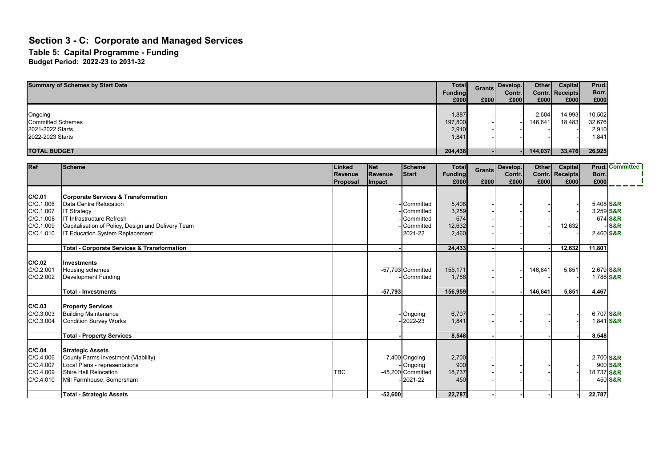### **Section 3 - C: Corporate and Managed Services Table 5: Capital Programme - Funding Budget Period: 2022-23 to 2031-32**

| <b>Summary of Schemes by Start Date</b>                                     |                                                                                                                                                                                                                      |                                      |                                 |                                                             |                                          | <b>Grants</b><br>Funding<br>£000<br>£000 | Develop.<br>Contr.<br>£000 | Other<br>Contr.<br>£000 | Capital<br><b>Receipts</b><br>£000 | Prud.<br>Borr.<br>£000                |                           |
|-----------------------------------------------------------------------------|----------------------------------------------------------------------------------------------------------------------------------------------------------------------------------------------------------------------|--------------------------------------|---------------------------------|-------------------------------------------------------------|------------------------------------------|------------------------------------------|----------------------------|-------------------------|------------------------------------|---------------------------------------|---------------------------|
| Ongoing<br><b>Committed Schemes</b><br>2021-2022 Starts<br>2022-2023 Starts |                                                                                                                                                                                                                      |                                      |                                 |                                                             |                                          |                                          |                            | $-2,604$<br>146,641     | 14,993<br>18,483                   | $-10,502$<br>32,676<br>2,910<br>1,841 |                           |
| <b>TOTAL BUDGET</b>                                                         |                                                                                                                                                                                                                      |                                      |                                 |                                                             | 204,438                                  |                                          |                            | 144,037                 | 33,476                             | 26,925                                |                           |
| <b>Ref</b>                                                                  | <b>Scheme</b>                                                                                                                                                                                                        | <b>Linked</b><br>Revenue<br>Proposal | <b>Net</b><br>Revenue<br>Impact | Scheme<br><b>Start</b>                                      | <b>Total</b><br>Funding<br>£000          | <b>Grants</b><br>£000                    | Develop.<br>Contr.<br>£000 | Other<br>Contr.<br>£000 | Capital<br><b>Receipts</b><br>£000 | Borr.<br>£000                         | <b>Prud.</b> Committee    |
| C/C.01<br>C/C.1.006<br>C/C.1.007<br>C/C.1.008<br>C/C.1.009<br>C/C.1.010     | <b>Corporate Services &amp; Transformation</b><br>Data Centre Relocation<br><b>IT Strategy</b><br>IT Infrastructure Refresh<br>Capitalisation of Policy, Design and Delivery Team<br>IT Education System Replacement |                                      |                                 | Committed<br>Committed<br>Committed<br>Committed<br>2021-22 | 5,408<br>3,259<br>674<br>12,632<br>2.460 |                                          |                            |                         | 12,632                             | 5,408 S&R<br>3,259 S&R<br>2,460 S&R   | 674 S&R<br><b>S&amp;R</b> |
|                                                                             | <b>Total - Corporate Services &amp; Transformation</b>                                                                                                                                                               |                                      |                                 |                                                             | 24,433                                   |                                          |                            |                         | 12,632                             | 11,801                                |                           |
| C/C.02<br>C/C.2.001<br>C/C.2.002                                            | <b>Investments</b><br>Housing schemes<br><b>Development Funding</b>                                                                                                                                                  |                                      |                                 | -57,793 Committed<br>Committed                              | 155,171<br>1,788                         |                                          |                            | 146,641                 | 5,851                              | 2,679 S&R<br>1,788 S&R                |                           |
|                                                                             | <b>Total - Investments</b>                                                                                                                                                                                           |                                      | $-57,793$                       |                                                             | 156,959                                  |                                          |                            | 146,641                 | 5,851                              | 4,467                                 |                           |
| C/C.03<br>C/C.3.003<br>C/C.3.004                                            | <b>Property Services</b><br><b>Building Maintenance</b><br><b>Condition Survey Works</b>                                                                                                                             |                                      |                                 | Ongoing<br>$-2022 - 23$                                     | 6,707<br>1,841                           |                                          |                            |                         |                                    | 6,707 S&R<br>1,841 S&R                |                           |
|                                                                             | <b>Total - Property Services</b>                                                                                                                                                                                     |                                      |                                 |                                                             | 8,548                                    |                                          |                            |                         |                                    | 8,548                                 |                           |
| C/C.04<br>C/C.4.006<br>C/C.4.007<br>C/C.4.009<br>C/C.4.010                  | <b>Strategic Assets</b><br>County Farms investment (Viability)<br>Local Plans - representations<br>Shire Hall Relocation<br>Mill Farmhouse, Somersham                                                                | <b>TBC</b>                           |                                 | $-7,400$ Ongoing<br>Ongoing<br>-45,200 Committed<br>2021-22 | 2,700<br>900<br>18,737<br>450            |                                          |                            |                         |                                    | 2,700 S&R<br>18,737 S&R               | 900 S&R<br>450 S&R        |
|                                                                             | <b>Total - Strategic Assets</b>                                                                                                                                                                                      |                                      | $-52,600$                       |                                                             | 22,787                                   |                                          |                            |                         |                                    | 22,787                                |                           |